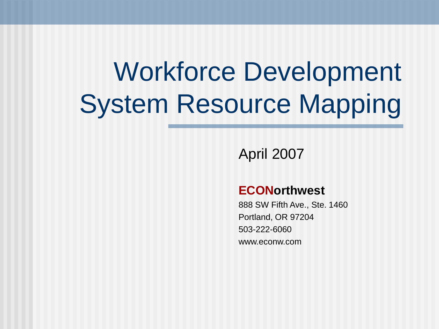## Workforce Development System Resource Mapping

April 2007

#### **ECONorthwest**

888 SW Fifth Ave., Ste. 1460 Portland, OR 97204 503-222-6060 www.econw.com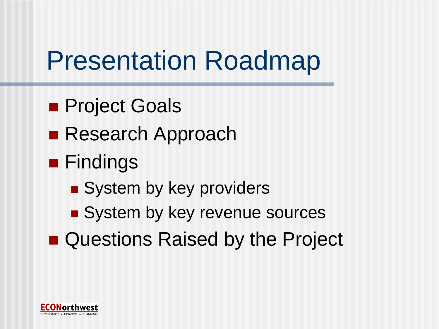## Presentation Roadmap

- **Project Goals**
- Research Approach
- **Findings** 
	- System by key providers
	- System by key revenue sources
- Questions Raised by the Project

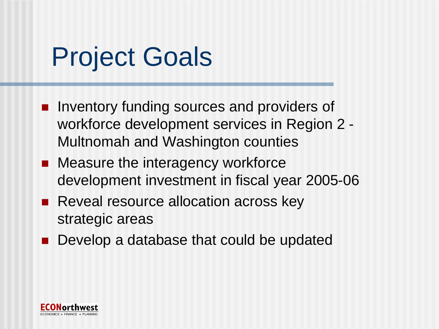## Project Goals

- **Inventory funding sources and providers of** workforce development services in Region 2 - Multnomah and Washington counties
- Measure the interagency workforce development investment in fiscal year 2005-06
- **Reveal resource allocation across key** strategic areas
- **Develop a database that could be updated**

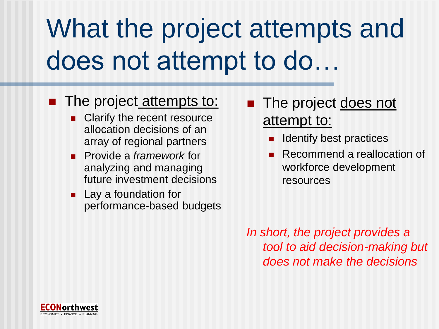## What the project attempts and does not attempt to do…

#### **The project attempts to:**

- Clarify the recent resource allocation decisions of an array of regional partners
- **Provide a** *framework* for analyzing and managing future investment decisions
- **Lay a foundation for** performance-based budgets
- The project does not attempt to:
	- Identify best practices
	- Recommend a reallocation of workforce development resources

*In short, the project provides a tool to aid decision-making but does not make the decisions*

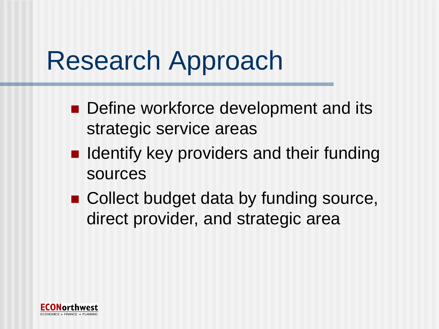## Research Approach

- Define workforce development and its strategic service areas
- $\blacksquare$  Identify key providers and their funding sources
- Collect budget data by funding source, direct provider, and strategic area

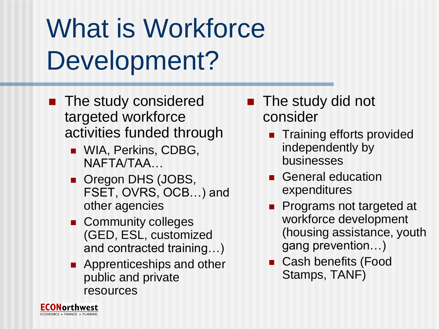## What is Workforce Development?

- **The study considered** targeted workforce activities funded through
	- **NIA, Perkins, CDBG,** NAFTA/TAA…
	- **Oregon DHS (JOBS,** FSET, OVRS, OCB…) and other agencies
	- **Community colleges** (GED, ESL, customized and contracted training…)
	- **Apprenticeships and other** public and private resources
- The study did not consider
	- **Training efforts provided** independently by businesses
	- General education expenditures
	- Programs not targeted at workforce development (housing assistance, youth gang prevention…)
	- Cash benefits (Food Stamps, TANF)

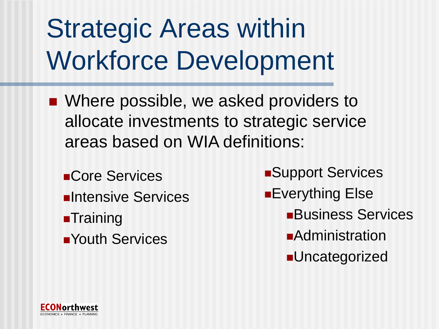## Strategic Areas within Workforce Development

- Where possible, we asked providers to allocate investments to strategic service areas based on WIA definitions:
	- **Core Services**
	- **Elntensive Services**
	- **Training**
	- **Nouth Services**
- **Support Services**
- **Everything Else** 
	- **Business Services**
	- **Administration**
	- **-Uncategorized**

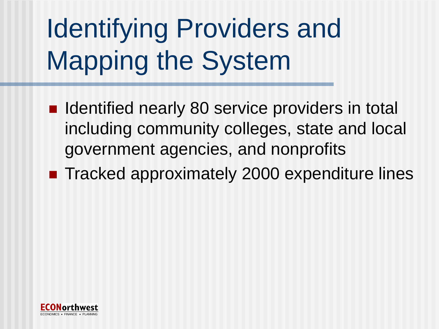# Identifying Providers and Mapping the System

- Identified nearly 80 service providers in total including community colleges, state and local government agencies, and nonprofits
- Tracked approximately 2000 expenditure lines

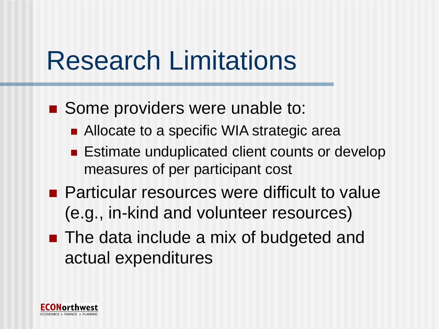## Research Limitations

- Some providers were unable to:
	- Allocate to a specific WIA strategic area
	- **Estimate unduplicated client counts or develop** measures of per participant cost
- Particular resources were difficult to value (e.g., in-kind and volunteer resources)
- The data include a mix of budgeted and actual expenditures

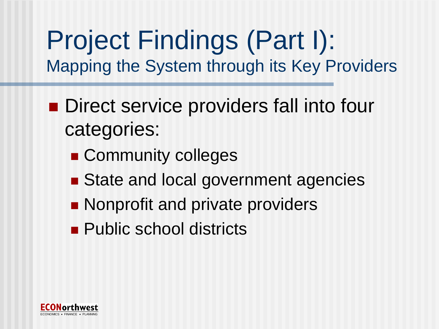## Project Findings (Part I): Mapping the System through its Key Providers

- Direct service providers fall into four categories:
	- **Community colleges**
	- State and local government agencies
	- **Nonprofit and private providers**
	- **Public school districts**

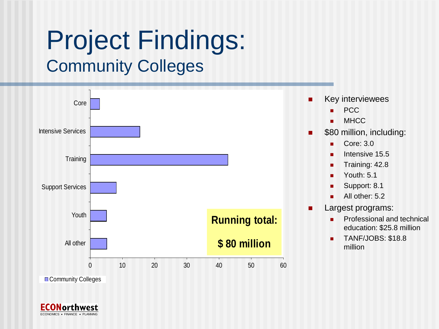## Project Findings: Community Colleges



Community Colleges

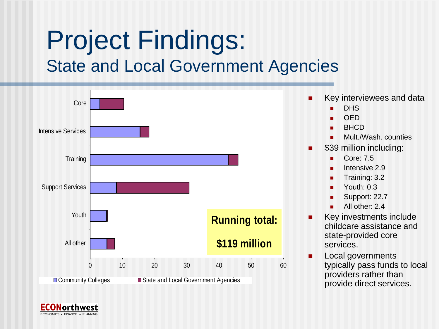## Project Findings: State and Local Government Agencies



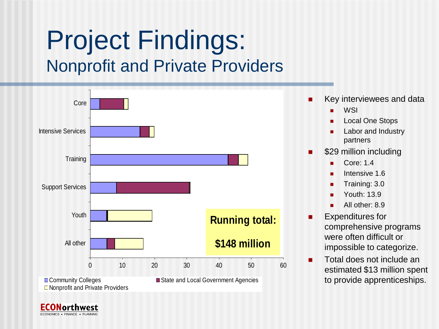### Project Findings: Nonprofit and Private Providers



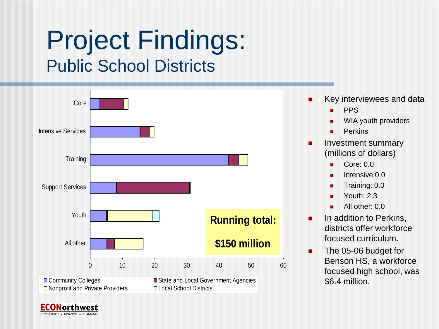### Project Findings: Public School Districts



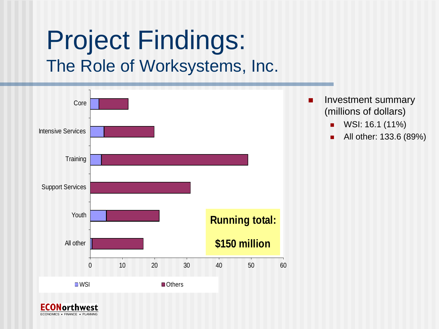#### Project Findings: The Role of Worksystems, Inc.



ECONOMICS . FINANCE . PLANNING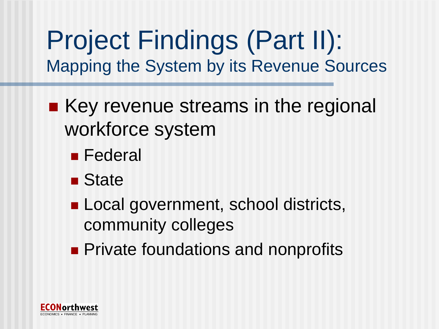Project Findings (Part II): Mapping the System by its Revenue Sources

- $\blacksquare$  Key revenue streams in the regional workforce system
	- **Federal**
	- State
	- **Local government, school districts,** community colleges
	- **Private foundations and nonprofits**

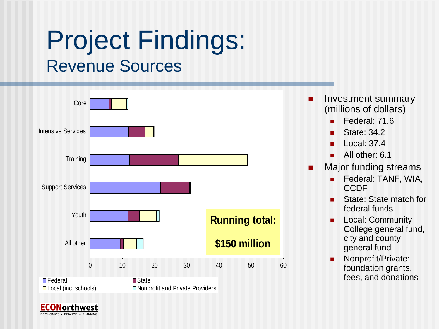### Project Findings: Revenue Sources



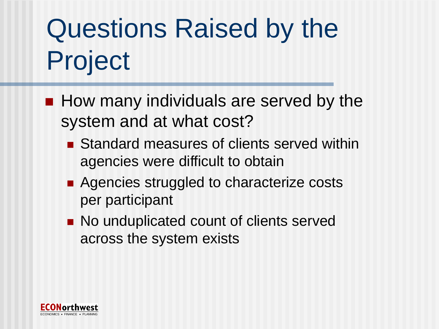# Questions Raised by the Project

- $\blacksquare$  How many individuals are served by the system and at what cost?
	- Standard measures of clients served within agencies were difficult to obtain
	- Agencies struggled to characterize costs per participant
	- No unduplicated count of clients served across the system exists

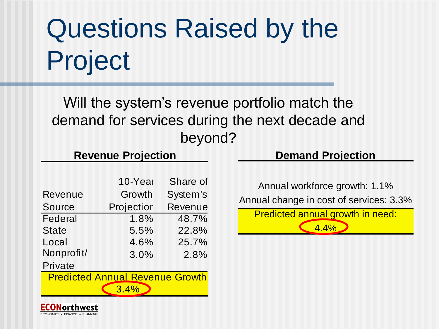# Questions Raised by the Project

Will the system's revenue portfolio match the demand for services during the next decade and beyond?

#### **Revenue Projection**

|                                        | 10-Year    | Share of       |
|----------------------------------------|------------|----------------|
| Revenue                                | Growth     | System's       |
| Source                                 | Projectior | <b>Revenue</b> |
| Federal                                | 1.8%       | 48.7%          |
| State                                  | 5.5%       | 22.8%          |
| Local                                  | 4.6%       | 25.7%          |
| Nonprofit/                             | 3.0%       | 2.8%           |
| Private                                |            |                |
| <b>Predicted Annual Revenue Growth</b> |            |                |
| 3.4%                                   |            |                |
|                                        |            |                |

#### **Demand Projection**

Annual workforce growth: 1.1% Annual change in cost of services: 3.3% Predicted annual growth in need: 4.4%

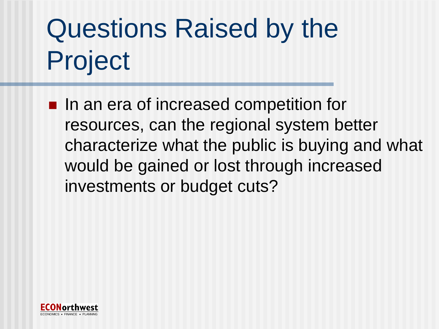# Questions Raised by the Project

■ In an era of increased competition for resources, can the regional system better characterize what the public is buying and what would be gained or lost through increased investments or budget cuts?